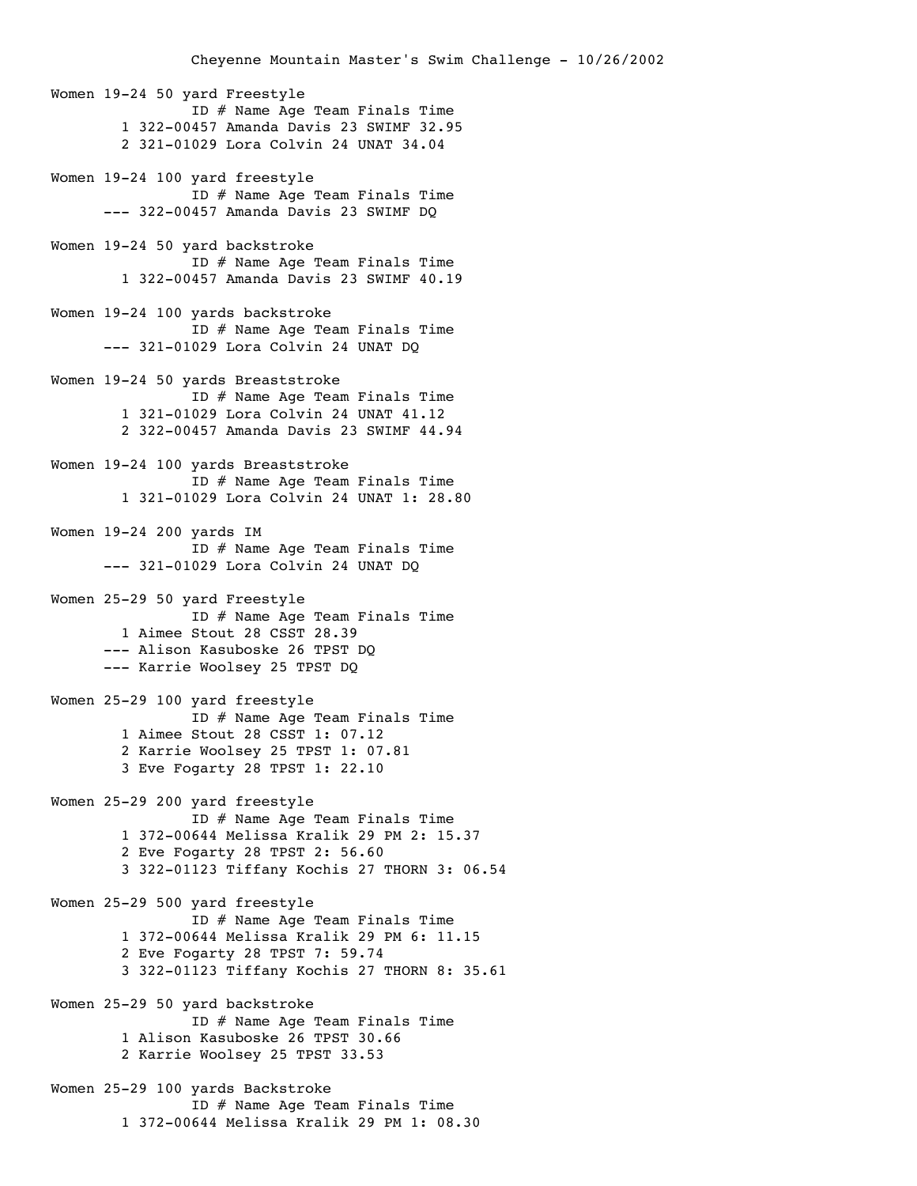Women 19-24 50 yard Freestyle ID # Name Age Team Finals Time 1 322-00457 Amanda Davis 23 SWIMF 32.95 2 321-01029 Lora Colvin 24 UNAT 34.04

Women 19-24 100 yard freestyle ID # Name Age Team Finals Time --- 322-00457 Amanda Davis 23 SWIMF DQ

- Women 19-24 50 yard backstroke ID # Name Age Team Finals Time 1 322-00457 Amanda Davis 23 SWIMF 40.19
- Women 19-24 100 yards backstroke ID # Name Age Team Finals Time --- 321-01029 Lora Colvin 24 UNAT DQ
- Women 19-24 50 yards Breaststroke ID # Name Age Team Finals Time 1 321-01029 Lora Colvin 24 UNAT 41.12 2 322-00457 Amanda Davis 23 SWIMF 44.94
- Women 19-24 100 yards Breaststroke ID # Name Age Team Finals Time 1 321-01029 Lora Colvin 24 UNAT 1: 28.80
- Women 19-24 200 yards IM ID # Name Age Team Finals Time --- 321-01029 Lora Colvin 24 UNAT DQ
- Women 25-29 50 yard Freestyle ID # Name Age Team Finals Time 1 Aimee Stout 28 CSST 28.39 --- Alison Kasuboske 26 TPST DQ --- Karrie Woolsey 25 TPST DQ
- Women 25-29 100 yard freestyle ID # Name Age Team Finals Time 1 Aimee Stout 28 CSST 1: 07.12 2 Karrie Woolsey 25 TPST 1: 07.81 3 Eve Fogarty 28 TPST 1: 22.10
- Women 25-29 200 yard freestyle ID # Name Age Team Finals Time 1 372-00644 Melissa Kralik 29 PM 2: 15.37 2 Eve Fogarty 28 TPST 2: 56.60 3 322-01123 Tiffany Kochis 27 THORN 3: 06.54
- Women 25-29 500 yard freestyle ID # Name Age Team Finals Time 1 372-00644 Melissa Kralik 29 PM 6: 11.15 2 Eve Fogarty 28 TPST 7: 59.74 3 322-01123 Tiffany Kochis 27 THORN 8: 35.61
- Women 25-29 50 yard backstroke ID # Name Age Team Finals Time 1 Alison Kasuboske 26 TPST 30.66 2 Karrie Woolsey 25 TPST 33.53
- Women 25-29 100 yards Backstroke ID # Name Age Team Finals Time 1 372-00644 Melissa Kralik 29 PM 1: 08.30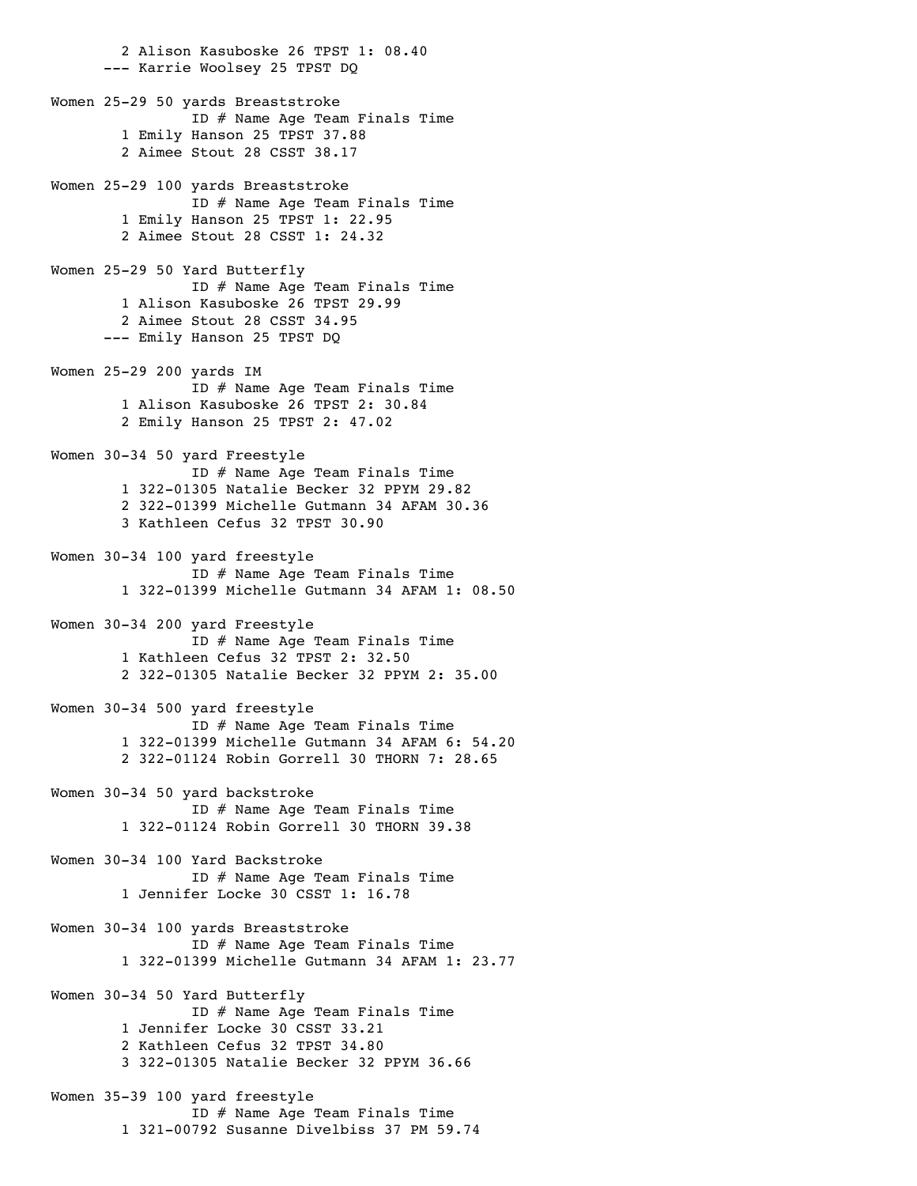2 Alison Kasuboske 26 TPST 1: 08.40 --- Karrie Woolsey 25 TPST DQ Women 25-29 50 yards Breaststroke ID # Name Age Team Finals Time 1 Emily Hanson 25 TPST 37.88 2 Aimee Stout 28 CSST 38.17 Women 25-29 100 yards Breaststroke ID # Name Age Team Finals Time 1 Emily Hanson 25 TPST 1: 22.95 2 Aimee Stout 28 CSST 1: 24.32 Women 25-29 50 Yard Butterfly ID # Name Age Team Finals Time 1 Alison Kasuboske 26 TPST 29.99 2 Aimee Stout 28 CSST 34.95 --- Emily Hanson 25 TPST DQ Women 25-29 200 yards IM ID # Name Age Team Finals Time 1 Alison Kasuboske 26 TPST 2: 30.84 2 Emily Hanson 25 TPST 2: 47.02 Women 30-34 50 yard Freestyle ID # Name Age Team Finals Time 1 322-01305 Natalie Becker 32 PPYM 29.82 2 322-01399 Michelle Gutmann 34 AFAM 30.36 3 Kathleen Cefus 32 TPST 30.90 Women 30-34 100 yard freestyle ID # Name Age Team Finals Time 1 322-01399 Michelle Gutmann 34 AFAM 1: 08.50 Women 30-34 200 yard Freestyle ID # Name Age Team Finals Time 1 Kathleen Cefus 32 TPST 2: 32.50 2 322-01305 Natalie Becker 32 PPYM 2: 35.00 Women 30-34 500 yard freestyle ID # Name Age Team Finals Time 1 322-01399 Michelle Gutmann 34 AFAM 6: 54.20 2 322-01124 Robin Gorrell 30 THORN 7: 28.65 Women 30-34 50 yard backstroke ID # Name Age Team Finals Time 1 322-01124 Robin Gorrell 30 THORN 39.38 Women 30-34 100 Yard Backstroke ID # Name Age Team Finals Time 1 Jennifer Locke 30 CSST 1: 16.78 Women 30-34 100 yards Breaststroke ID # Name Age Team Finals Time 1 322-01399 Michelle Gutmann 34 AFAM 1: 23.77 Women 30-34 50 Yard Butterfly ID # Name Age Team Finals Time 1 Jennifer Locke 30 CSST 33.21 2 Kathleen Cefus 32 TPST 34.80 3 322-01305 Natalie Becker 32 PPYM 36.66 Women 35-39 100 yard freestyle ID # Name Age Team Finals Time

1 321-00792 Susanne Divelbiss 37 PM 59.74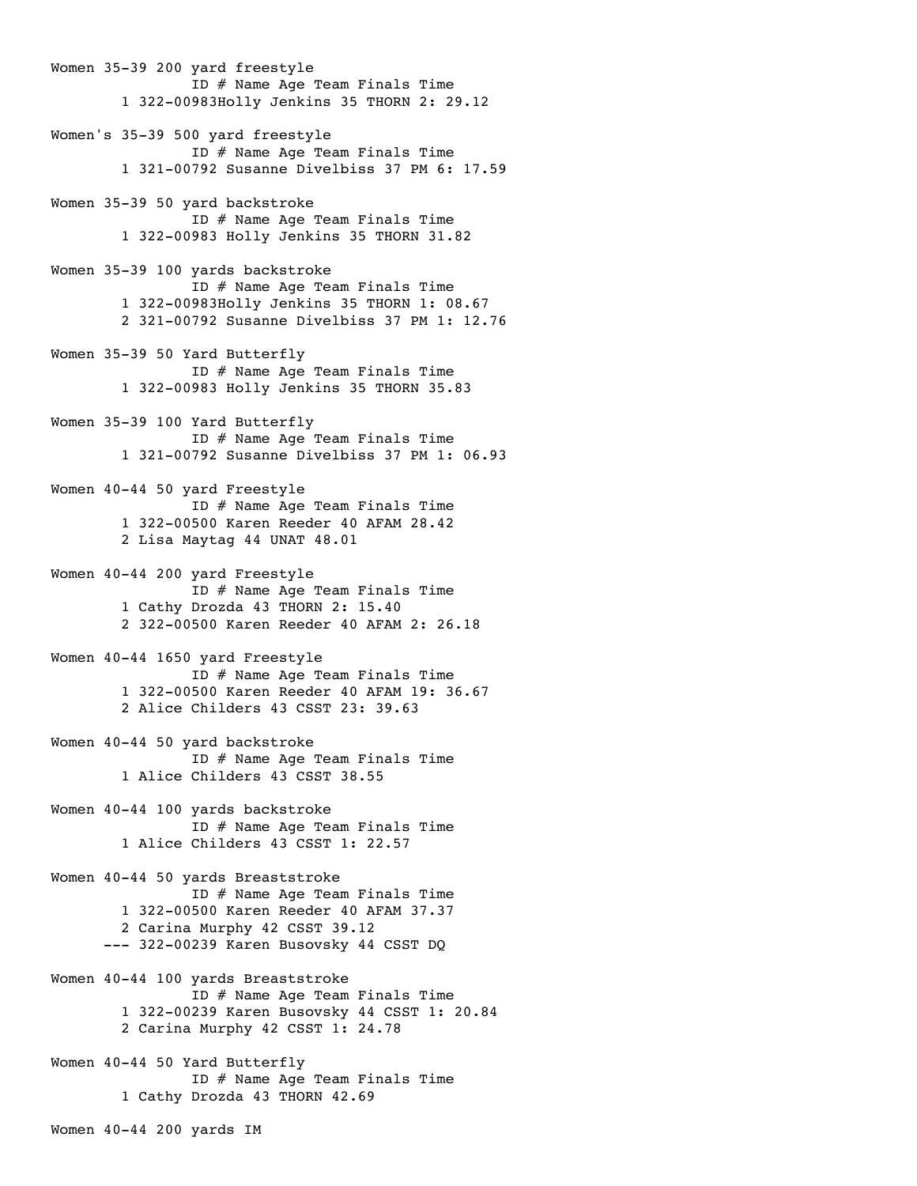Women 35-39 200 yard freestyle ID # Name Age Team Finals Time 1 322-00983Holly Jenkins 35 THORN 2: 29.12 Women's 35-39 500 yard freestyle ID # Name Age Team Finals Time 1 321-00792 Susanne Divelbiss 37 PM 6: 17.59 Women 35-39 50 yard backstroke ID # Name Age Team Finals Time 1 322-00983 Holly Jenkins 35 THORN 31.82 Women 35-39 100 yards backstroke ID # Name Age Team Finals Time 1 322-00983Holly Jenkins 35 THORN 1: 08.67 2 321-00792 Susanne Divelbiss 37 PM 1: 12.76 Women 35-39 50 Yard Butterfly ID # Name Age Team Finals Time 1 322-00983 Holly Jenkins 35 THORN 35.83 Women 35-39 100 Yard Butterfly ID # Name Age Team Finals Time 1 321-00792 Susanne Divelbiss 37 PM 1: 06.93 Women 40-44 50 yard Freestyle ID # Name Age Team Finals Time 1 322-00500 Karen Reeder 40 AFAM 28.42 2 Lisa Maytag 44 UNAT 48.01 Women 40-44 200 yard Freestyle ID # Name Age Team Finals Time 1 Cathy Drozda 43 THORN 2: 15.40 2 322-00500 Karen Reeder 40 AFAM 2: 26.18 Women 40-44 1650 yard Freestyle ID # Name Age Team Finals Time 1 322-00500 Karen Reeder 40 AFAM 19: 36.67 2 Alice Childers 43 CSST 23: 39.63 Women 40-44 50 yard backstroke ID # Name Age Team Finals Time 1 Alice Childers 43 CSST 38.55 Women 40-44 100 yards backstroke ID # Name Age Team Finals Time 1 Alice Childers 43 CSST 1: 22.57 Women 40-44 50 yards Breaststroke ID # Name Age Team Finals Time 1 322-00500 Karen Reeder 40 AFAM 37.37 2 Carina Murphy 42 CSST 39.12 --- 322-00239 Karen Busovsky 44 CSST DQ Women 40-44 100 yards Breaststroke ID # Name Age Team Finals Time 1 322-00239 Karen Busovsky 44 CSST 1: 20.84 2 Carina Murphy 42 CSST 1: 24.78 Women 40-44 50 Yard Butterfly ID # Name Age Team Finals Time 1 Cathy Drozda 43 THORN 42.69

Women 40-44 200 yards IM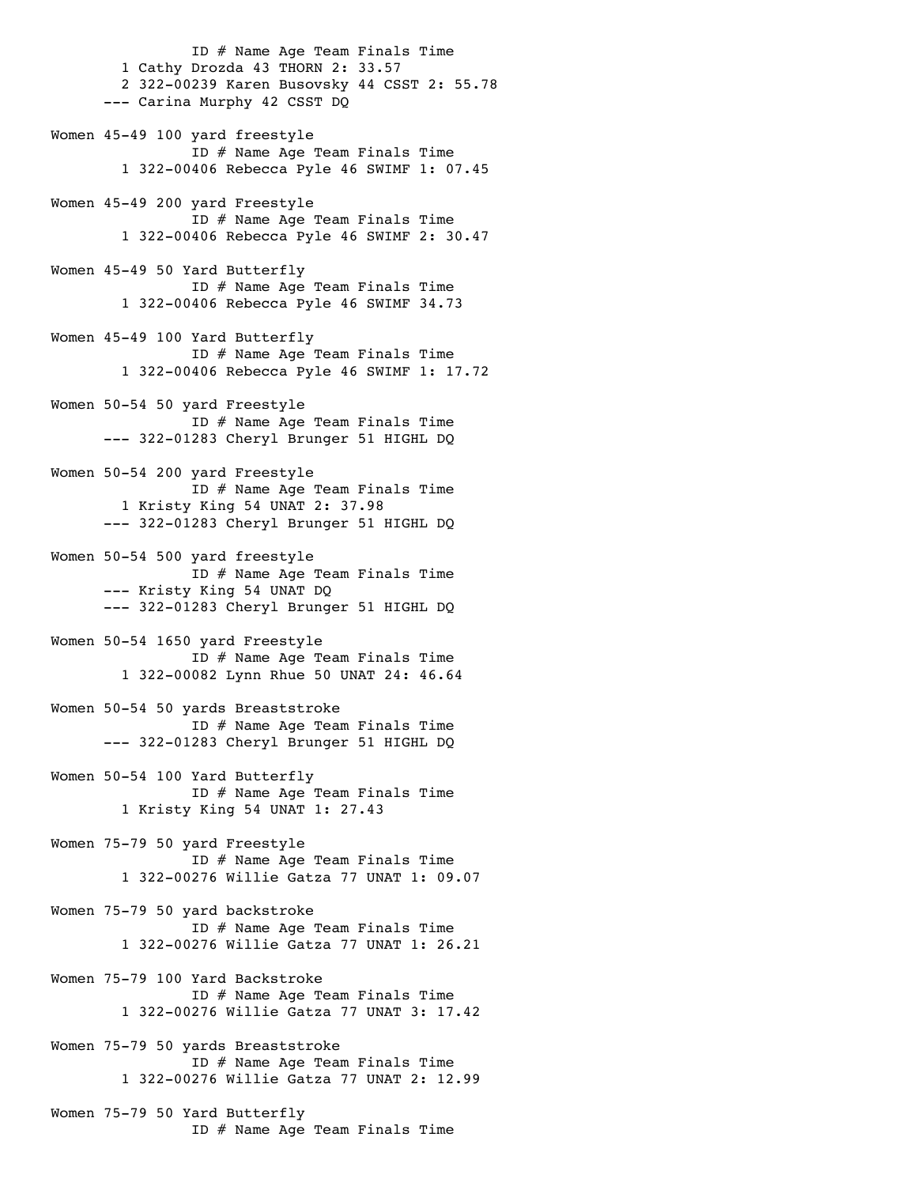ID # Name Age Team Finals Time 1 Cathy Drozda 43 THORN 2: 33.57 2 322-00239 Karen Busovsky 44 CSST 2: 55.78 --- Carina Murphy 42 CSST DQ Women 45-49 100 yard freestyle ID # Name Age Team Finals Time 1 322-00406 Rebecca Pyle 46 SWIMF 1: 07.45 Women 45-49 200 yard Freestyle ID # Name Age Team Finals Time 1 322-00406 Rebecca Pyle 46 SWIMF 2: 30.47 Women 45-49 50 Yard Butterfly ID # Name Age Team Finals Time 1 322-00406 Rebecca Pyle 46 SWIMF 34.73 Women 45-49 100 Yard Butterfly ID # Name Age Team Finals Time 1 322-00406 Rebecca Pyle 46 SWIMF 1: 17.72 Women 50-54 50 yard Freestyle ID # Name Age Team Finals Time --- 322-01283 Cheryl Brunger 51 HIGHL DQ Women 50-54 200 yard Freestyle ID # Name Age Team Finals Time 1 Kristy King 54 UNAT 2: 37.98 --- 322-01283 Cheryl Brunger 51 HIGHL DQ Women 50-54 500 yard freestyle ID # Name Age Team Finals Time --- Kristy King 54 UNAT DQ --- 322-01283 Cheryl Brunger 51 HIGHL DQ Women 50-54 1650 yard Freestyle ID # Name Age Team Finals Time 1 322-00082 Lynn Rhue 50 UNAT 24: 46.64 Women 50-54 50 yards Breaststroke ID # Name Age Team Finals Time --- 322-01283 Cheryl Brunger 51 HIGHL DQ Women 50-54 100 Yard Butterfly ID # Name Age Team Finals Time 1 Kristy King 54 UNAT 1: 27.43 Women 75-79 50 yard Freestyle ID # Name Age Team Finals Time 1 322-00276 Willie Gatza 77 UNAT 1: 09.07 Women 75-79 50 yard backstroke ID # Name Age Team Finals Time 1 322-00276 Willie Gatza 77 UNAT 1: 26.21 Women 75-79 100 Yard Backstroke ID # Name Age Team Finals Time 1 322-00276 Willie Gatza 77 UNAT 3: 17.42 Women 75-79 50 yards Breaststroke ID # Name Age Team Finals Time 1 322-00276 Willie Gatza 77 UNAT 2: 12.99

Women 75-79 50 Yard Butterfly ID # Name Age Team Finals Time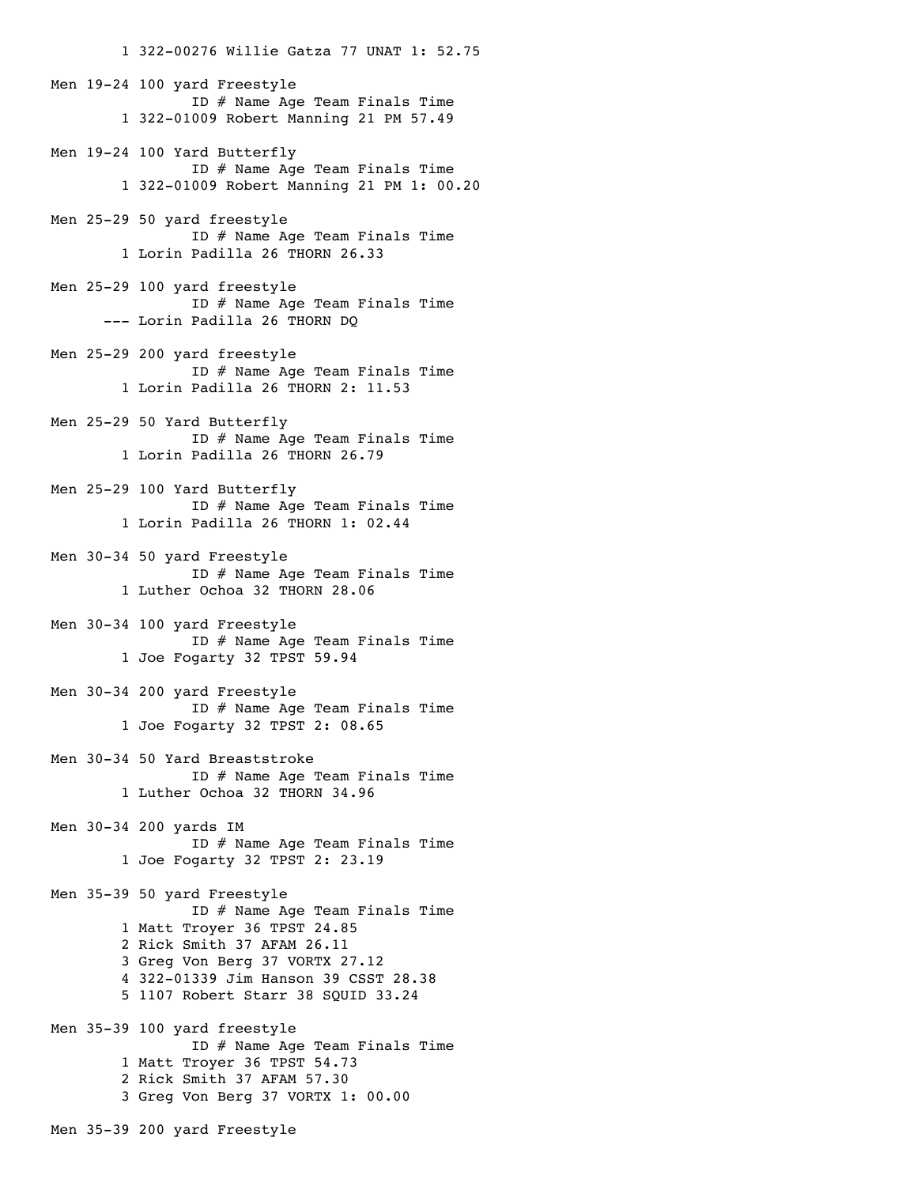1 322-00276 Willie Gatza 77 UNAT 1: 52.75 Men 19-24 100 yard Freestyle ID # Name Age Team Finals Time 1 322-01009 Robert Manning 21 PM 57.49 Men 19-24 100 Yard Butterfly ID # Name Age Team Finals Time 1 322-01009 Robert Manning 21 PM 1: 00.20 Men 25-29 50 yard freestyle ID # Name Age Team Finals Time 1 Lorin Padilla 26 THORN 26.33 Men 25-29 100 yard freestyle ID # Name Age Team Finals Time --- Lorin Padilla 26 THORN DQ Men 25-29 200 yard freestyle ID # Name Age Team Finals Time 1 Lorin Padilla 26 THORN 2: 11.53 Men 25-29 50 Yard Butterfly ID # Name Age Team Finals Time 1 Lorin Padilla 26 THORN 26.79 Men 25-29 100 Yard Butterfly ID # Name Age Team Finals Time 1 Lorin Padilla 26 THORN 1: 02.44 Men 30-34 50 yard Freestyle ID # Name Age Team Finals Time 1 Luther Ochoa 32 THORN 28.06 Men 30-34 100 yard Freestyle ID # Name Age Team Finals Time 1 Joe Fogarty 32 TPST 59.94 Men 30-34 200 yard Freestyle ID # Name Age Team Finals Time 1 Joe Fogarty 32 TPST 2: 08.65 Men 30-34 50 Yard Breaststroke ID # Name Age Team Finals Time 1 Luther Ochoa 32 THORN 34.96 Men 30-34 200 yards IM ID # Name Age Team Finals Time 1 Joe Fogarty 32 TPST 2: 23.19 Men 35-39 50 yard Freestyle ID # Name Age Team Finals Time 1 Matt Troyer 36 TPST 24.85 2 Rick Smith 37 AFAM 26.11 3 Greg Von Berg 37 VORTX 27.12 4 322-01339 Jim Hanson 39 CSST 28.38 5 1107 Robert Starr 38 SQUID 33.24 Men 35-39 100 yard freestyle ID # Name Age Team Finals Time 1 Matt Troyer 36 TPST 54.73 2 Rick Smith 37 AFAM 57.30 3 Greg Von Berg 37 VORTX 1: 00.00

Men 35-39 200 yard Freestyle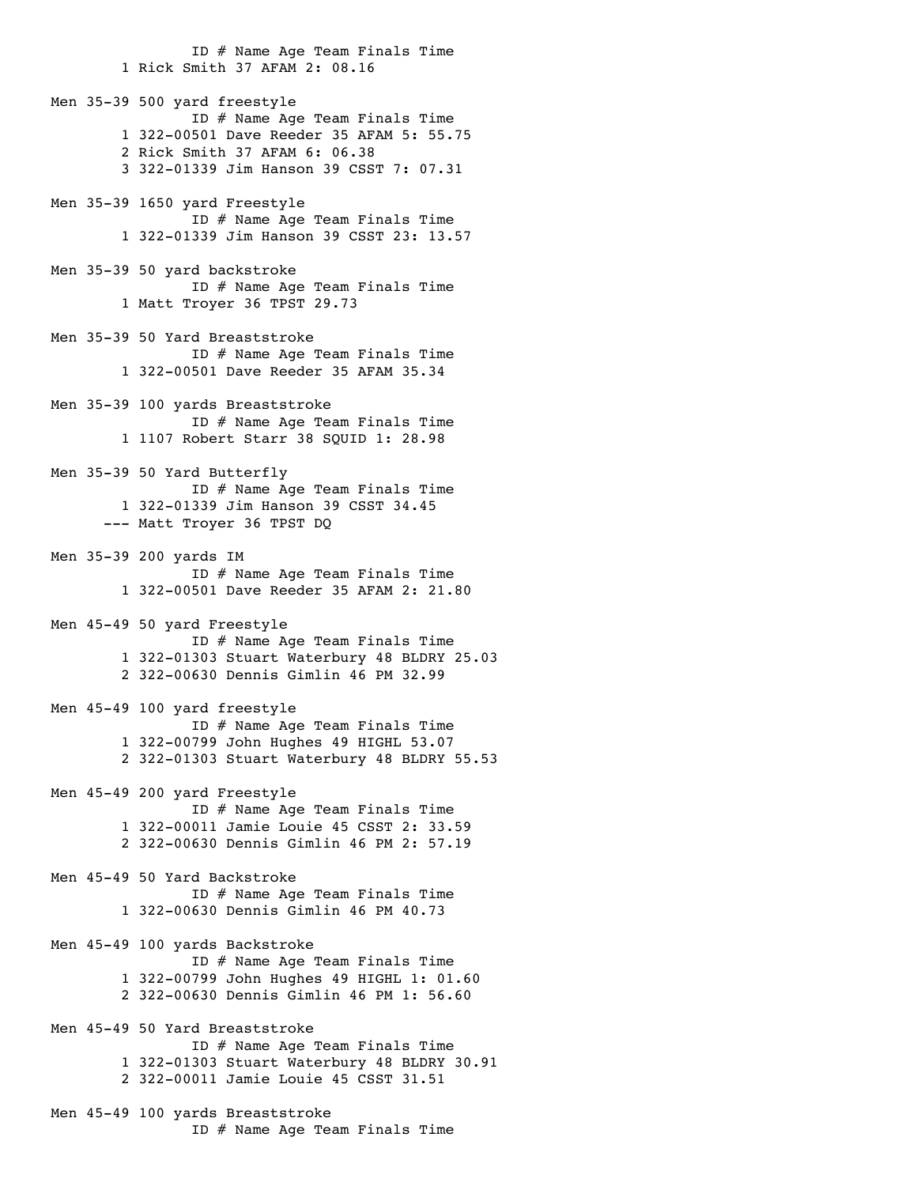ID # Name Age Team Finals Time 1 Rick Smith 37 AFAM 2: 08.16 Men 35-39 500 yard freestyle ID # Name Age Team Finals Time 1 322-00501 Dave Reeder 35 AFAM 5: 55.75 2 Rick Smith 37 AFAM 6: 06.38 3 322-01339 Jim Hanson 39 CSST 7: 07.31 Men 35-39 1650 yard Freestyle ID # Name Age Team Finals Time 1 322-01339 Jim Hanson 39 CSST 23: 13.57 Men 35-39 50 yard backstroke ID # Name Age Team Finals Time 1 Matt Troyer 36 TPST 29.73 Men 35-39 50 Yard Breaststroke ID # Name Age Team Finals Time 1 322-00501 Dave Reeder 35 AFAM 35.34 Men 35-39 100 yards Breaststroke ID # Name Age Team Finals Time 1 1107 Robert Starr 38 SQUID 1: 28.98 Men 35-39 50 Yard Butterfly ID # Name Age Team Finals Time 1 322-01339 Jim Hanson 39 CSST 34.45 --- Matt Troyer 36 TPST DQ Men 35-39 200 yards IM ID # Name Age Team Finals Time 1 322-00501 Dave Reeder 35 AFAM 2: 21.80 Men 45-49 50 yard Freestyle ID # Name Age Team Finals Time 1 322-01303 Stuart Waterbury 48 BLDRY 25.03 2 322-00630 Dennis Gimlin 46 PM 32.99 Men 45-49 100 yard freestyle ID # Name Age Team Finals Time 1 322-00799 John Hughes 49 HIGHL 53.07 2 322-01303 Stuart Waterbury 48 BLDRY 55.53 Men 45-49 200 yard Freestyle ID # Name Age Team Finals Time 1 322-00011 Jamie Louie 45 CSST 2: 33.59 2 322-00630 Dennis Gimlin 46 PM 2: 57.19 Men 45-49 50 Yard Backstroke ID # Name Age Team Finals Time 1 322-00630 Dennis Gimlin 46 PM 40.73 Men 45-49 100 yards Backstroke ID # Name Age Team Finals Time 1 322-00799 John Hughes 49 HIGHL 1: 01.60 2 322-00630 Dennis Gimlin 46 PM 1: 56.60 Men 45-49 50 Yard Breaststroke ID # Name Age Team Finals Time 1 322-01303 Stuart Waterbury 48 BLDRY 30.91 2 322-00011 Jamie Louie 45 CSST 31.51 Men 45-49 100 yards Breaststroke ID # Name Age Team Finals Time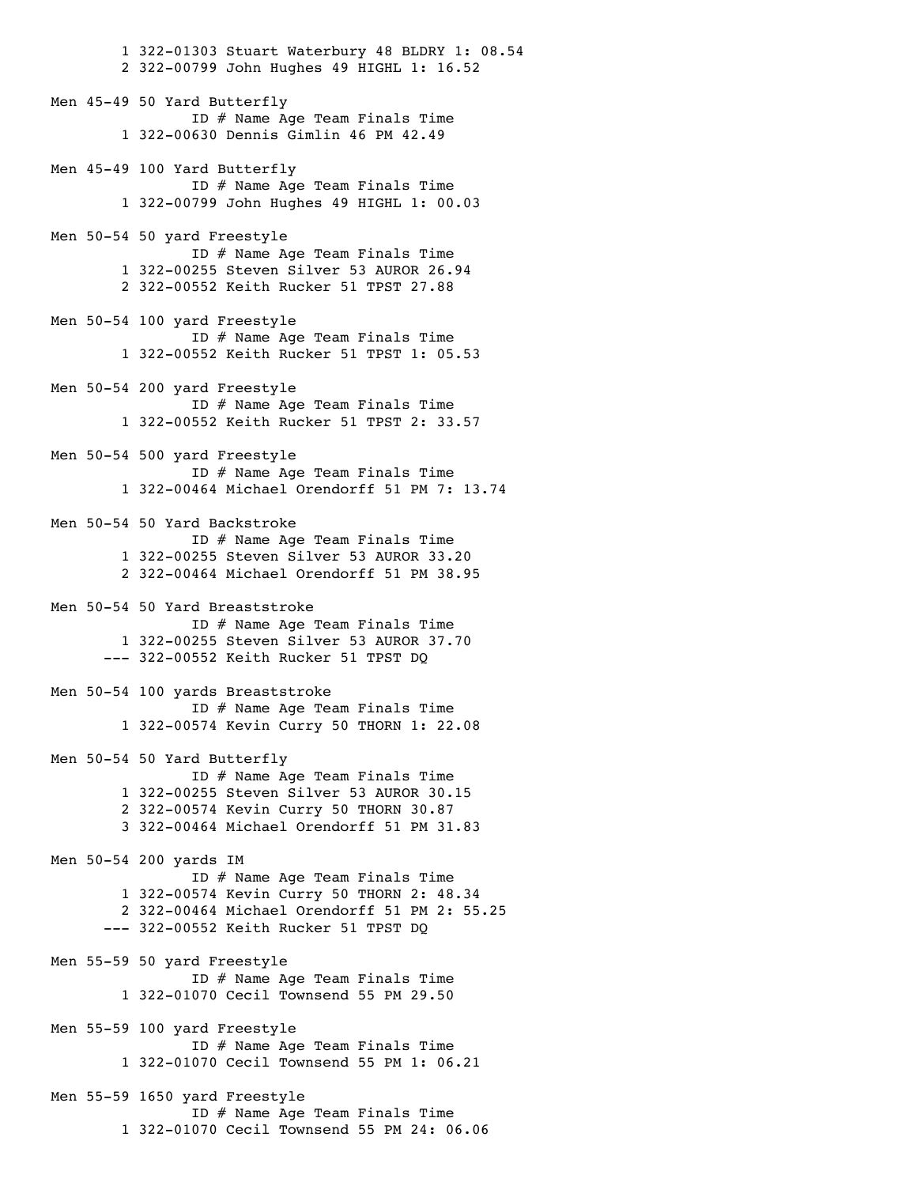1 322-01303 Stuart Waterbury 48 BLDRY 1: 08.54 2 322-00799 John Hughes 49 HIGHL 1: 16.52 Men 45-49 50 Yard Butterfly ID # Name Age Team Finals Time 1 322-00630 Dennis Gimlin 46 PM 42.49 Men 45-49 100 Yard Butterfly ID # Name Age Team Finals Time 1 322-00799 John Hughes 49 HIGHL 1: 00.03 Men 50-54 50 yard Freestyle ID # Name Age Team Finals Time 1 322-00255 Steven Silver 53 AUROR 26.94 2 322-00552 Keith Rucker 51 TPST 27.88 Men 50-54 100 yard Freestyle ID # Name Age Team Finals Time 1 322-00552 Keith Rucker 51 TPST 1: 05.53 Men 50-54 200 yard Freestyle ID # Name Age Team Finals Time 1 322-00552 Keith Rucker 51 TPST 2: 33.57 Men 50-54 500 yard Freestyle ID # Name Age Team Finals Time 1 322-00464 Michael Orendorff 51 PM 7: 13.74 Men 50-54 50 Yard Backstroke ID # Name Age Team Finals Time 1 322-00255 Steven Silver 53 AUROR 33.20 2 322-00464 Michael Orendorff 51 PM 38.95 Men 50-54 50 Yard Breaststroke ID # Name Age Team Finals Time 1 322-00255 Steven Silver 53 AUROR 37.70 --- 322-00552 Keith Rucker 51 TPST DQ Men 50-54 100 yards Breaststroke ID # Name Age Team Finals Time 1 322-00574 Kevin Curry 50 THORN 1: 22.08 Men 50-54 50 Yard Butterfly ID # Name Age Team Finals Time 1 322-00255 Steven Silver 53 AUROR 30.15 2 322-00574 Kevin Curry 50 THORN 30.87 3 322-00464 Michael Orendorff 51 PM 31.83 Men 50-54 200 yards IM ID # Name Age Team Finals Time 1 322-00574 Kevin Curry 50 THORN 2: 48.34 2 322-00464 Michael Orendorff 51 PM 2: 55.25 --- 322-00552 Keith Rucker 51 TPST DQ Men 55-59 50 yard Freestyle ID # Name Age Team Finals Time 1 322-01070 Cecil Townsend 55 PM 29.50 Men 55-59 100 yard Freestyle ID # Name Age Team Finals Time 1 322-01070 Cecil Townsend 55 PM 1: 06.21 Men 55-59 1650 yard Freestyle ID # Name Age Team Finals Time 1 322-01070 Cecil Townsend 55 PM 24: 06.06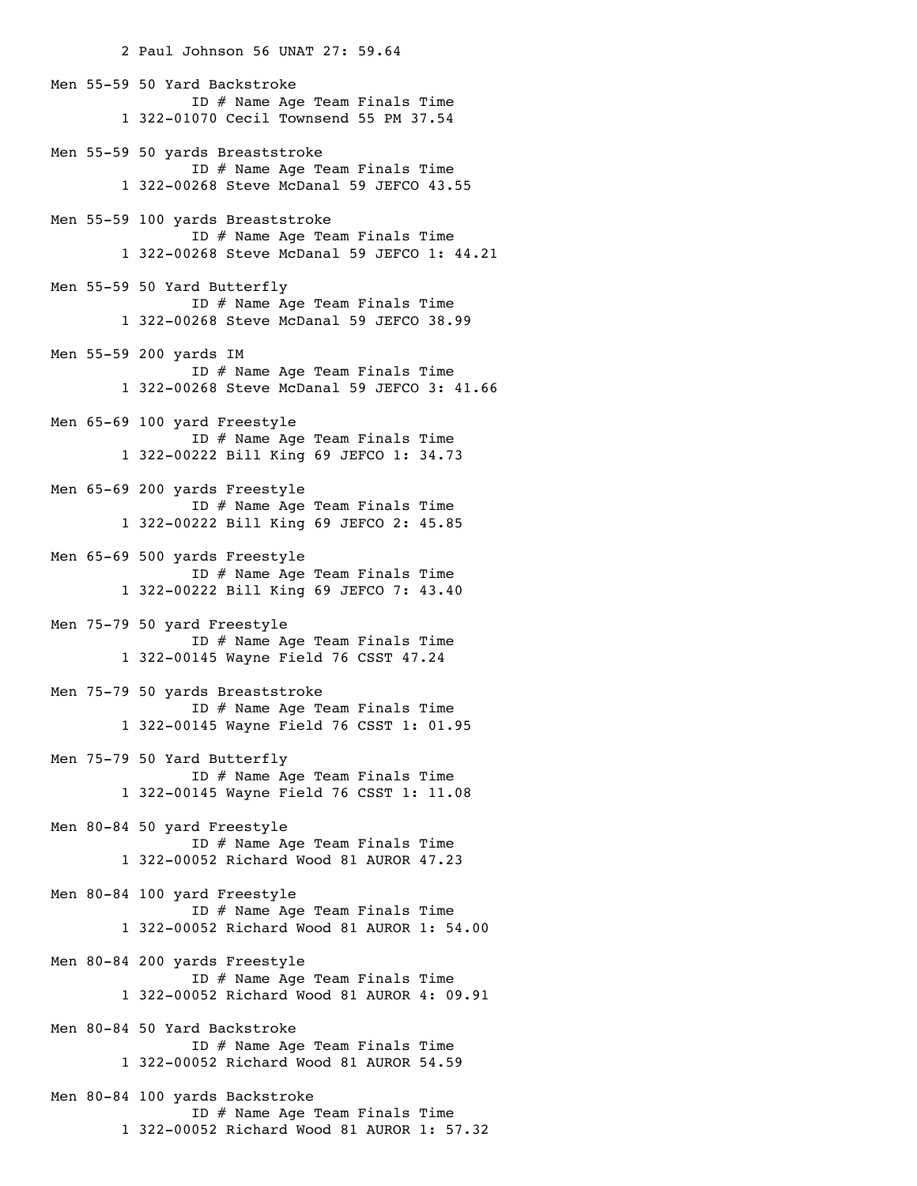2 Paul Johnson 56 UNAT 27: 59.64 Men 55-59 50 Yard Backstroke ID # Name Age Team Finals Time 1 322-01070 Cecil Townsend 55 PM 37.54 Men 55-59 50 yards Breaststroke ID # Name Age Team Finals Time 1 322-00268 Steve McDanal 59 JEFCO 43.55 Men 55-59 100 yards Breaststroke ID # Name Age Team Finals Time 1 322-00268 Steve McDanal 59 JEFCO 1: 44.21 Men 55-59 50 Yard Butterfly ID # Name Age Team Finals Time 1 322-00268 Steve McDanal 59 JEFCO 38.99 Men 55-59 200 yards IM ID # Name Age Team Finals Time 1 322-00268 Steve McDanal 59 JEFCO 3: 41.66 Men 65-69 100 yard Freestyle ID # Name Age Team Finals Time 1 322-00222 Bill King 69 JEFCO 1: 34.73 Men 65-69 200 yards Freestyle ID # Name Age Team Finals Time 1 322-00222 Bill King 69 JEFCO 2: 45.85 Men 65-69 500 yards Freestyle ID # Name Age Team Finals Time 1 322-00222 Bill King 69 JEFCO 7: 43.40 Men 75-79 50 yard Freestyle ID # Name Age Team Finals Time 1 322-00145 Wayne Field 76 CSST 47.24 Men 75-79 50 yards Breaststroke ID # Name Age Team Finals Time 1 322-00145 Wayne Field 76 CSST 1: 01.95 Men 75-79 50 Yard Butterfly ID # Name Age Team Finals Time 1 322-00145 Wayne Field 76 CSST 1: 11.08 Men 80-84 50 yard Freestyle ID # Name Age Team Finals Time 1 322-00052 Richard Wood 81 AUROR 47.23 Men 80-84 100 yard Freestyle ID # Name Age Team Finals Time 1 322-00052 Richard Wood 81 AUROR 1: 54.00 Men 80-84 200 yards Freestyle ID # Name Age Team Finals Time 1 322-00052 Richard Wood 81 AUROR 4: 09.91 Men 80-84 50 Yard Backstroke ID # Name Age Team Finals Time 1 322-00052 Richard Wood 81 AUROR 54.59 Men 80-84 100 yards Backstroke ID # Name Age Team Finals Time 1 322-00052 Richard Wood 81 AUROR 1: 57.32